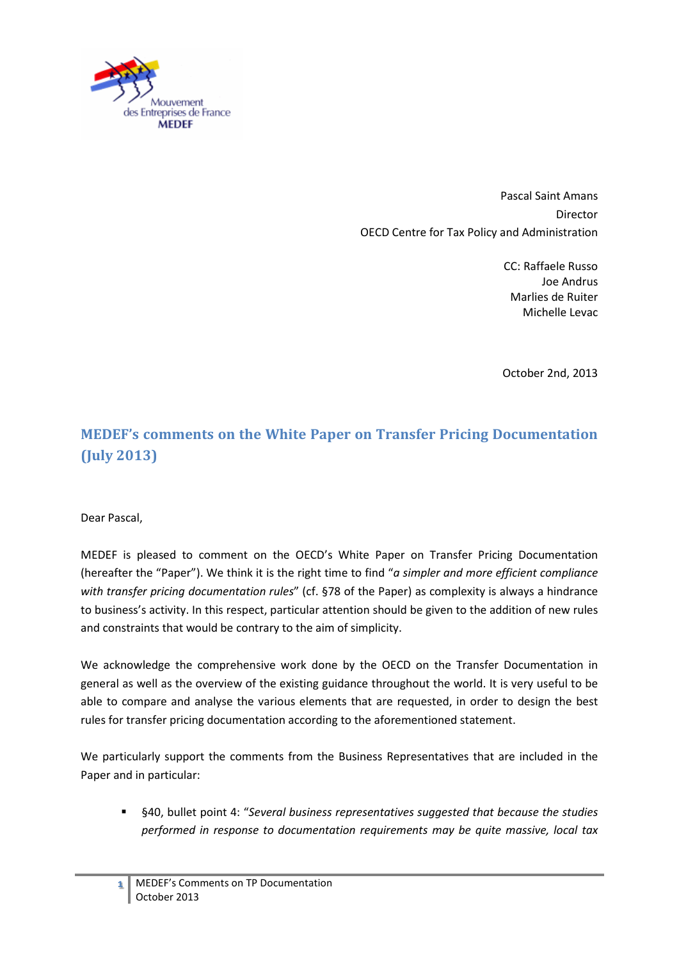

Pascal Saint Amans Director OECD Centre for Tax Policy and Administration

> CC: Raffaele Russo Joe Andrus Marlies de Ruiter Michelle Levac

> October 2nd, 2013

# **MEDEF's comments on the White Paper on Transfer Pricing Documentation (July 2013)**

#### Dear Pascal,

MEDEF is pleased to comment on the OECD's White Paper on Transfer Pricing Documentation (hereafter the "Paper"). We think it is the right time to find "*a simpler and more efficient compliance with transfer pricing documentation rules*" (cf. §78 of the Paper) as complexity is always a hindrance to business's activity. In this respect, particular attention should be given to the addition of new rules and constraints that would be contrary to the aim of simplicity.

We acknowledge the comprehensive work done by the OECD on the Transfer Documentation in general as well as the overview of the existing guidance throughout the world. It is very useful to be able to compare and analyse the various elements that are requested, in order to design the best rules for transfer pricing documentation according to the aforementioned statement.

We particularly support the comments from the Business Representatives that are included in the Paper and in particular:

 §40, bullet point 4: "*Several business representatives suggested that because the studies performed in response to documentation requirements may be quite massive, local tax*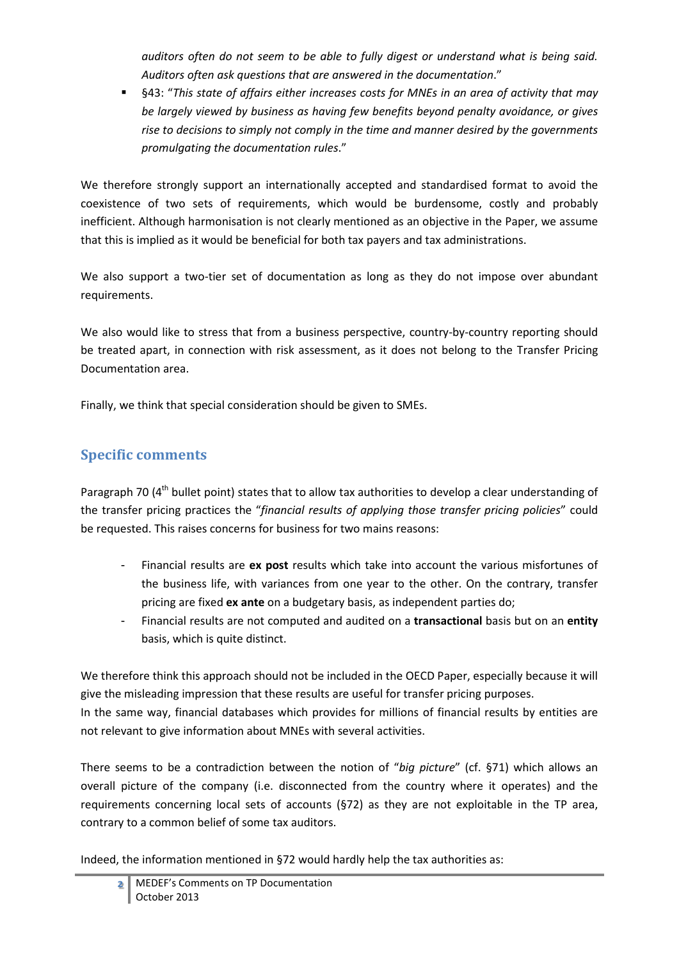*auditors often do not seem to be able to fully digest or understand what is being said. Auditors often ask questions that are answered in the documentation*."

 §43: "*This state of affairs either increases costs for MNEs in an area of activity that may be largely viewed by business as having few benefits beyond penalty avoidance, or gives rise to decisions to simply not comply in the time and manner desired by the governments promulgating the documentation rules*."

We therefore strongly support an internationally accepted and standardised format to avoid the coexistence of two sets of requirements, which would be burdensome, costly and probably inefficient. Although harmonisation is not clearly mentioned as an objective in the Paper, we assume that this is implied as it would be beneficial for both tax payers and tax administrations.

We also support a two-tier set of documentation as long as they do not impose over abundant requirements.

We also would like to stress that from a business perspective, country-by-country reporting should be treated apart, in connection with risk assessment, as it does not belong to the Transfer Pricing Documentation area.

Finally, we think that special consideration should be given to SMEs.

### **Specific comments**

Paragraph 70 (4<sup>th</sup> bullet point) states that to allow tax authorities to develop a clear understanding of the transfer pricing practices the "*financial results of applying those transfer pricing policies*" could be requested. This raises concerns for business for two mains reasons:

- Financial results are **ex post** results which take into account the various misfortunes of the business life, with variances from one year to the other. On the contrary, transfer pricing are fixed **ex ante** on a budgetary basis, as independent parties do;
- Financial results are not computed and audited on a **transactional** basis but on an **entity** basis, which is quite distinct.

We therefore think this approach should not be included in the OECD Paper, especially because it will give the misleading impression that these results are useful for transfer pricing purposes. In the same way, financial databases which provides for millions of financial results by entities are not relevant to give information about MNEs with several activities.

There seems to be a contradiction between the notion of "*big picture*" (cf. §71) which allows an overall picture of the company (i.e. disconnected from the country where it operates) and the requirements concerning local sets of accounts (§72) as they are not exploitable in the TP area, contrary to a common belief of some tax auditors.

Indeed, the information mentioned in §72 would hardly help the tax authorities as: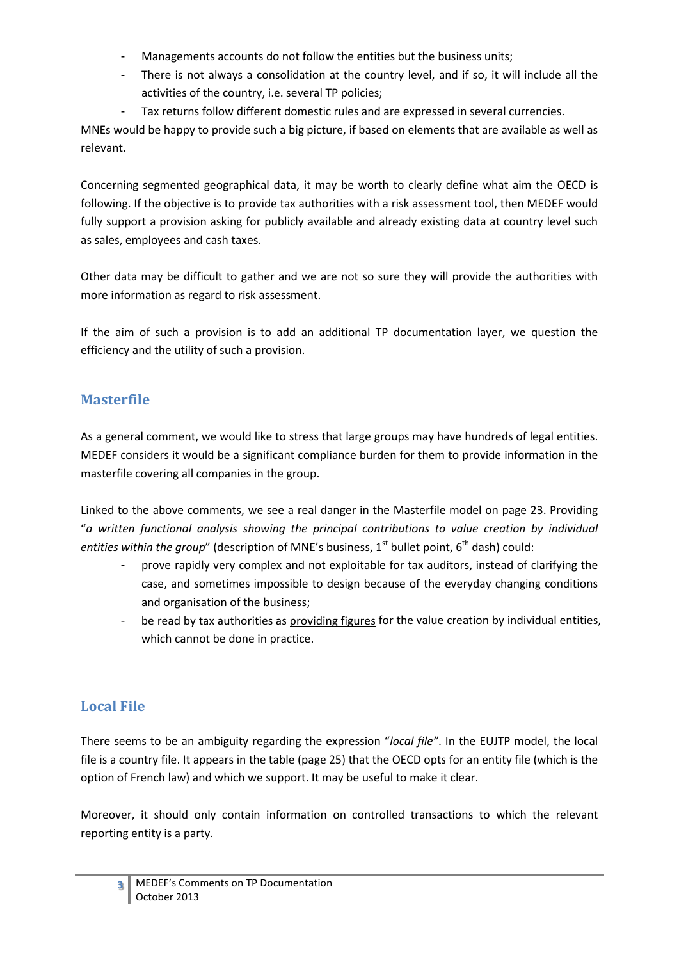- Managements accounts do not follow the entities but the business units;
- There is not always a consolidation at the country level, and if so, it will include all the activities of the country, i.e. several TP policies;
- Tax returns follow different domestic rules and are expressed in several currencies.

MNEs would be happy to provide such a big picture, if based on elements that are available as well as relevant.

Concerning segmented geographical data, it may be worth to clearly define what aim the OECD is following. If the objective is to provide tax authorities with a risk assessment tool, then MEDEF would fully support a provision asking for publicly available and already existing data at country level such as sales, employees and cash taxes.

Other data may be difficult to gather and we are not so sure they will provide the authorities with more information as regard to risk assessment.

If the aim of such a provision is to add an additional TP documentation layer, we question the efficiency and the utility of such a provision.

## **Masterfile**

As a general comment, we would like to stress that large groups may have hundreds of legal entities. MEDEF considers it would be a significant compliance burden for them to provide information in the masterfile covering all companies in the group.

Linked to the above comments, we see a real danger in the Masterfile model on page 23. Providing "*a written functional analysis showing the principal contributions to value creation by individual entities within the group*" (description of MNE's business, 1<sup>st</sup> bullet point, 6<sup>th</sup> dash) could:

- prove rapidly very complex and not exploitable for tax auditors, instead of clarifying the case, and sometimes impossible to design because of the everyday changing conditions and organisation of the business;
- be read by tax authorities as providing figures for the value creation by individual entities, which cannot be done in practice.

### **Local File**

There seems to be an ambiguity regarding the expression "*local file"*. In the EUJTP model, the local file is a country file. It appears in the table (page 25) that the OECD opts for an entity file (which is the option of French law) and which we support. It may be useful to make it clear.

Moreover, it should only contain information on controlled transactions to which the relevant reporting entity is a party.